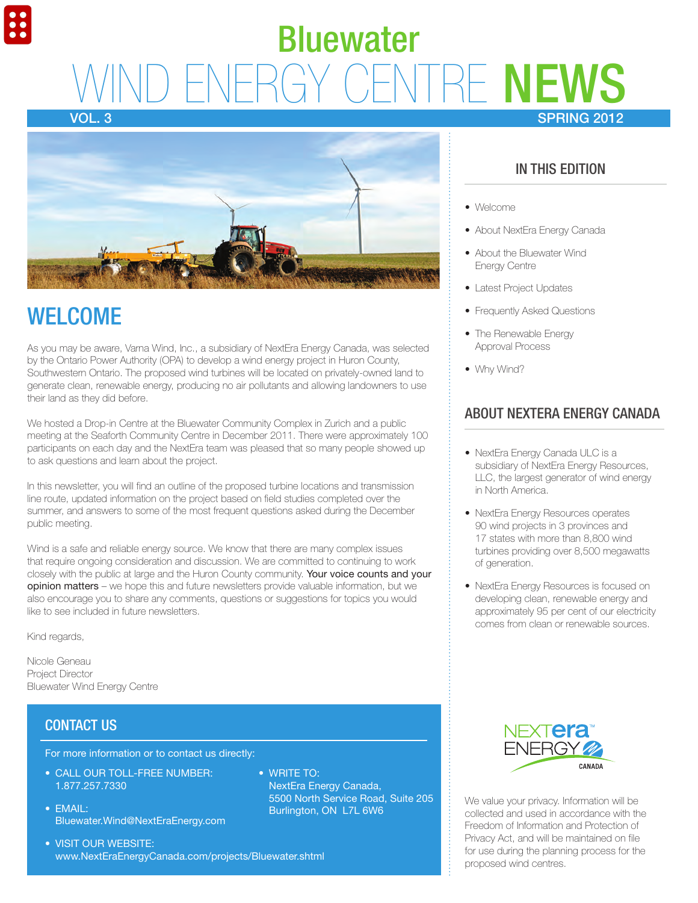# **IRE NEWS** SPRING 2012 Bluewater

Vol. 3



## **WELCOME**

As you may be aware, Varna Wind, Inc., a subsidiary of NextEra Energy Canada, was selected by the Ontario Power Authority (OPA) to develop a wind energy project in Huron County, Southwestern Ontario. The proposed wind turbines will be located on privately-owned land to generate clean, renewable energy, producing no air pollutants and allowing landowners to use their land as they did before.

We hosted a Drop-in Centre at the Bluewater Community Complex in Zurich and a public meeting at the Seaforth Community Centre in December 2011. There were approximately 100 participants on each day and the NextEra team was pleased that so many people showed up to ask questions and learn about the project.

In this newsletter, you will find an outline of the proposed turbine locations and transmission line route, updated information on the project based on field studies completed over the summer, and answers to some of the most frequent questions asked during the December public meeting.

Wind is a safe and reliable energy source. We know that there are many complex issues that require ongoing consideration and discussion. We are committed to continuing to work closely with the public at large and the Huron County community. Your voice counts and your opinion matters – we hope this and future newsletters provide valuable information, but we also encourage you to share any comments, questions or suggestions for topics you would like to see included in future newsletters.

Kind regards,

Nicole Geneau Project Director Bluewater Wind Energy Centre

## CONTACT US

For more information or to contact us directly:

- CALL OUR TOLL-FREE NUMBER: 1.877.257.7330
- $\bullet$  FMAII: Bluewater.Wind@NextEraEnergy.com
- VISIT OUR WEBSITE: www.NextEraEnergyCanada.com/projects/Bluewater.shtml
- $\bullet$  WRITE TO: NextEra Energy Canada, 5500 North Service Road, Suite 205 Burlington, ON L7L 6W6

## In this Edition

- Welcome
- About NextEra Energy Canada
- About the Bluewater Wind Energy Centre
- Latest Project Updates
- Frequently Asked Questions
- The Renewable Energy Approval Process
- Why Wind?

## About NextEra Energy Canada

- NextEra Energy Canada ULC is a subsidiary of NextEra Energy Resources, LLC, the largest generator of wind energy in North America.
- NextEra Energy Resources operates 90 wind projects in 3 provinces and 17 states with more than 8,800 wind turbines providing over 8,500 megawatts of generation.
- NextEra Energy Resources is focused on developing clean, renewable energy and approximately 95 per cent of our electricity comes from clean or renewable sources.



We value your privacy. Information will be collected and used in accordance with the Freedom of Information and Protection of Privacy Act, and will be maintained on file for use during the planning process for the proposed wind centres.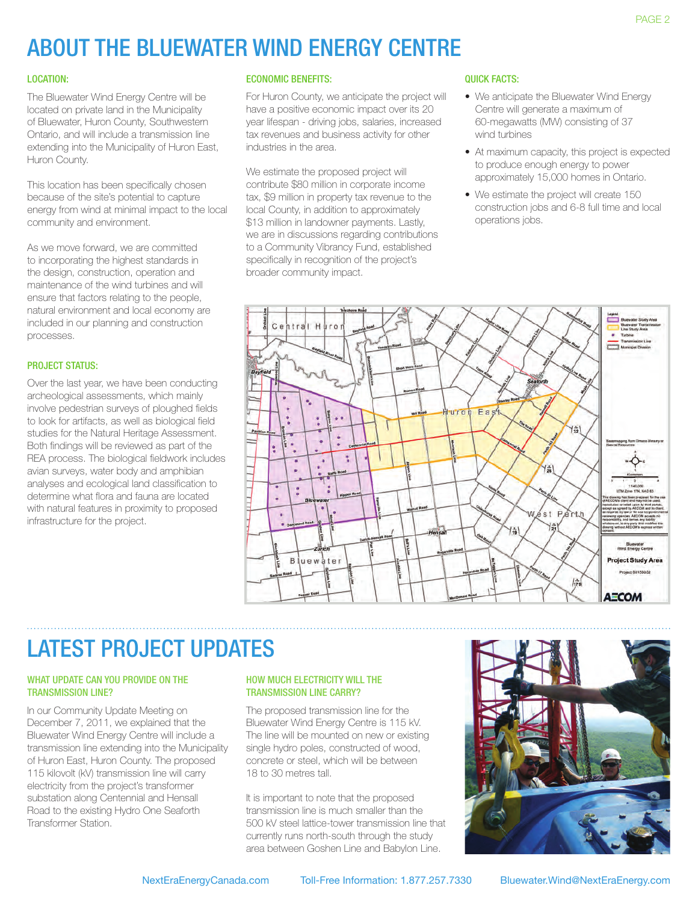# About the Bluewater Wind Energy Centre

### Location:

The Bluewater Wind Energy Centre will be located on private land in the Municipality of Bluewater, Huron County, Southwestern Ontario, and will include a transmission line extending into the Municipality of Huron East, Huron County.

This location has been specifically chosen because of the site's potential to capture energy from wind at minimal impact to the local community and environment.

As we move forward, we are committed to incorporating the highest standards in the design, construction, operation and maintenance of the wind turbines and will ensure that factors relating to the people, natural environment and local economy are included in our planning and construction processes.

### PROJECT STATUS:

Over the last year, we have been conducting archeological assessments, which mainly involve pedestrian surveys of ploughed fields to look for artifacts, as well as biological field studies for the Natural Heritage Assessment. Both findings will be reviewed as part of the REA process. The biological fieldwork includes avian surveys, water body and amphibian analyses and ecological land classification to determine what flora and fauna are located with natural features in proximity to proposed infrastructure for the project.

### economic Benefits:

For Huron County, we anticipate the project will have a positive economic impact over its 20 year lifespan - driving jobs, salaries, increased tax revenues and business activity for other industries in the area.

We estimate the proposed project will contribute \$80 million in corporate income tax, \$9 million in property tax revenue to the local County, in addition to approximately \$13 million in landowner payments. Lastly, we are in discussions regarding contributions to a Community Vibrancy Fund, established specifically in recognition of the project's broader community impact.

### Quick facts:

- We anticipate the Bluewater Wind Fnergy Centre will generate a maximum of 60-megawatts (MW) consisting of 37 wind turbines
- At maximum capacity, this project is expected to produce enough energy to power approximately 15,000 homes in Ontario.
- We estimate the project will create 150 construction jobs and 6-8 full time and local operations jobs.



## LATEST PROJECT UPDATES

### WHAT UPDATE CAN YOU PROVIDE ON THE transmission line?

In our Community Update Meeting on December 7, 2011, we explained that the Bluewater Wind Energy Centre will include a transmission line extending into the Municipality of Huron East, Huron County. The proposed 115 kilovolt (kV) transmission line will carry electricity from the project's transformer substation along Centennial and Hensall Road to the existing Hydro One Seaforth Transformer Station.

### HOW MUCH ELECTRICITY WILL THE transmission line carry?

The proposed transmission line for the Bluewater Wind Energy Centre is 115 kV. The line will be mounted on new or existing single hydro poles, constructed of wood, concrete or steel, which will be between 18 to 30 metres tall.

It is important to note that the proposed transmission line is much smaller than the 500 kV steel lattice-tower transmission line that currently runs north-south through the study area between Goshen Line and Babylon Line.

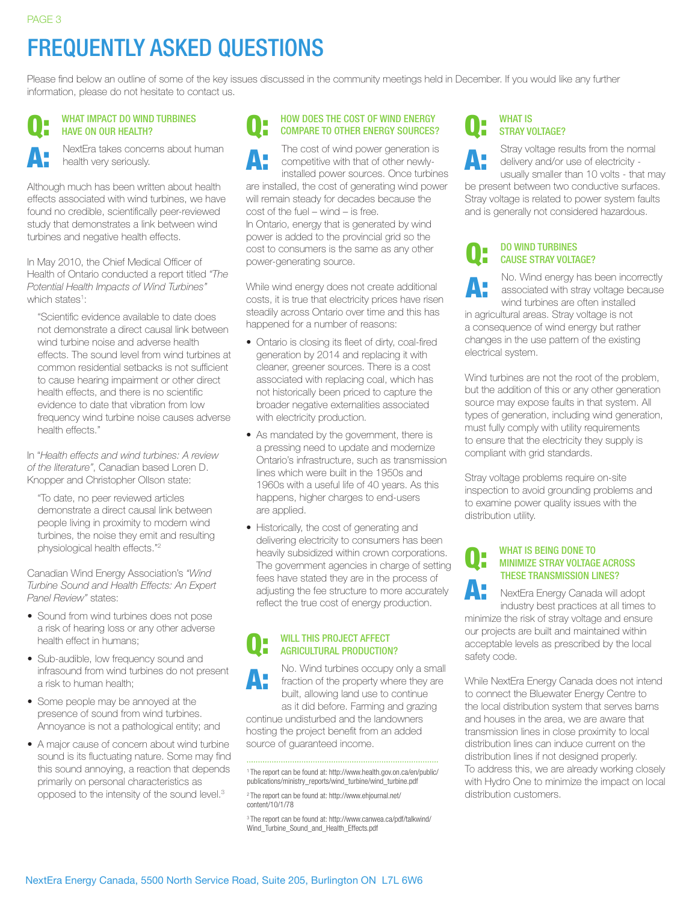# Frequently Asked Questions

Please find below an outline of some of the key issues discussed in the community meetings held in December. If you would like any further information, please do not hesitate to contact us.

#### WHAT IMPACT DO WIND TURBINES have on our health? Q:

NextEra takes concerns about human health very seriously. A:

Although much has been written about health effects associated with wind turbines, we have found no credible, scientifically peer-reviewed study that demonstrates a link between wind turbines and negative health effects.

In May 2010, the Chief Medical Officer of Health of Ontario conducted a report titled *"The Potential Health Impacts of Wind Turbines"* which states<sup>1</sup>:

"Scientific evidence available to date does not demonstrate a direct causal link between wind turbine noise and adverse health effects. The sound level from wind turbines at common residential setbacks is not sufficient to cause hearing impairment or other direct health effects, and there is no scientific evidence to date that vibration from low frequency wind turbine noise causes adverse health effects."

In "*Health effects and wind turbines: A review of the literature"*, Canadian based Loren D. Knopper and Christopher Ollson state:

"To date, no peer reviewed articles demonstrate a direct causal link between people living in proximity to modern wind turbines, the noise they emit and resulting physiological health effects."2

Canadian Wind Energy Association's *"Wind Turbine Sound and Health Effects: An Expert Panel Review"* states:

- Sound from wind turbines does not pose a risk of hearing loss or any other adverse health effect in humans;
- Sub-audible, low frequency sound and infrasound from wind turbines do not present a risk to human health;
- Some people may be annoyed at the presence of sound from wind turbines. Annoyance is not a pathological entity; and
- A major cause of concern about wind turbine sound is its fluctuating nature. Some may find this sound annoying, a reaction that depends primarily on personal characteristics as opposed to the intensity of the sound level.3

#### Q: How does the cost of wind energy compare to other energy sources?

A: The cost of wind power generation is competitive with that of other newlyinstalled power sources. Once turbines are installed, the cost of generating wind power will remain steady for decades because the cost of the fuel – wind – is free. In Ontario, energy that is generated by wind power is added to the provincial grid so the cost to consumers is the same as any other power-generating source.

While wind energy does not create additional costs, it is true that electricity prices have risen steadily across Ontario over time and this has happened for a number of reasons:

- Ontario is closing its fleet of dirty, coal-fired generation by 2014 and replacing it with cleaner, greener sources. There is a cost associated with replacing coal, which has not historically been priced to capture the broader negative externalities associated with electricity production.
- As mandated by the government, there is a pressing need to update and modernize Ontario's infrastructure, such as transmission lines which were built in the 1950s and 1960s with a useful life of 40 years. As this happens, higher charges to end-users are applied.
- Historically, the cost of generating and delivering electricity to consumers has been heavily subsidized within crown corporations. The government agencies in charge of setting fees have stated they are in the process of adjusting the fee structure to more accurately reflect the true cost of energy production.

#### Q: WILL THIS PROJECT AFFECT agricultural production?

A: No. Wind turbines occupy only a small fraction of the property where they are built, allowing land use to continue

as it did before. Farming and grazing continue undisturbed and the landowners hosting the project benefit from an added source of guaranteed income.

2 The report can be found at: http://www.ehjournal.net/ content/10/1/78

3 The report can be found at: http://www.canwea.ca/pdf/talkwind/ Wind\_Turbine\_Sound\_and\_Health\_Effects.pdf

#### WHAT IS STRAY VOLTAGE? Q:

Stray voltage results from the normal delivery and/or use of electricity usually smaller than 10 volts - that may be present between two conductive surfaces. A:

Stray voltage is related to power system faults and is generally not considered hazardous.

#### Do wind turbines cause stray voltage? Q:

A:

No. Wind energy has been incorrectly associated with stray voltage because wind turbines are often installed

in agricultural areas. Stray voltage is not a consequence of wind energy but rather changes in the use pattern of the existing electrical system.

Wind turbines are not the root of the problem, but the addition of this or any other generation source may expose faults in that system. All types of generation, including wind generation, must fully comply with utility requirements to ensure that the electricity they supply is compliant with grid standards.

Stray voltage problems require on-site inspection to avoid grounding problems and to examine power quality issues with the distribution utility.

#### Q: WHAT IS BEING DONE TO minimize stray voltage across these transmission lines?

A: NextEra Energy Canada will adopt industry best practices at all times to minimize the risk of stray voltage and ensure our projects are built and maintained within acceptable levels as prescribed by the local safety code.

While NextEra Energy Canada does not intend to connect the Bluewater Energy Centre to the local distribution system that serves barns and houses in the area, we are aware that transmission lines in close proximity to local distribution lines can induce current on the distribution lines if not designed properly. To address this, we are already working closely with Hydro One to minimize the impact on local distribution customers.

<sup>1</sup> The report can be found at: http://www.health.gov.on.ca/en/public/ publications/ministry\_reports/wind\_turbine/wind\_turbine.pdf